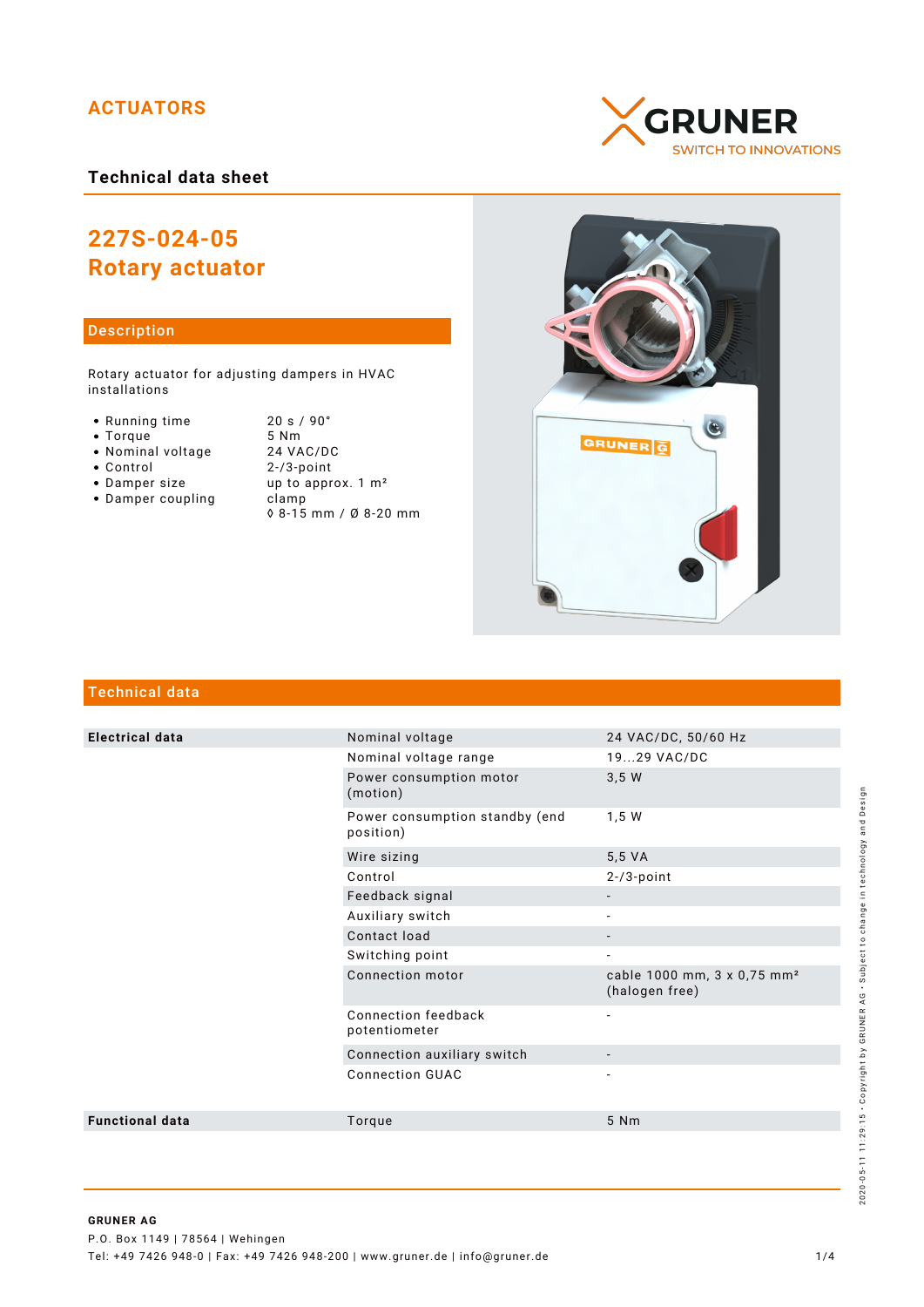## **ACTUATORS**

## **Technical data sheet**

# **227S-024-05 Rotary actuator**

### Description

Rotary actuator for adjusting dampers in HVAC installations

- Running time 20 s / 90°<br>• Torque 5 Nm
- 
- Nominal voltage<br>• Control
- 
- 
- $\bullet$  Damper coupling
- Torque 5 Nm<br>• Nominal voltage 24 VAC/DC  $2-/3$ -point • Damper size up to approx. 1 m<sup>2</sup><br>• Damper coupling clamp ◊ 8-15 mm / Ø 8-20 mm





## Technical data

| <b>Electrical data</b> | Nominal voltage                             | 24 VAC/DC, 50/60 Hz                                       |
|------------------------|---------------------------------------------|-----------------------------------------------------------|
|                        | Nominal voltage range                       | 1929 VAC/DC                                               |
|                        | Power consumption motor<br>(motion)         | 3,5 W                                                     |
|                        | Power consumption standby (end<br>position) | 1,5 W                                                     |
|                        | Wire sizing                                 | 5,5 VA                                                    |
|                        | Control                                     | $2 - 73$ -point                                           |
|                        | Feedback signal                             |                                                           |
|                        | Auxiliary switch                            |                                                           |
|                        | Contact load                                |                                                           |
|                        | Switching point                             |                                                           |
|                        | Connection motor                            | cable 1000 mm, 3 x 0,75 mm <sup>2</sup><br>(halogen free) |
|                        | Connection feedback<br>potentiometer        | $\overline{\phantom{a}}$                                  |
|                        | Connection auxiliary switch                 |                                                           |
|                        | <b>Connection GUAC</b>                      |                                                           |
| <b>Functional data</b> | Torque                                      | 5 Nm                                                      |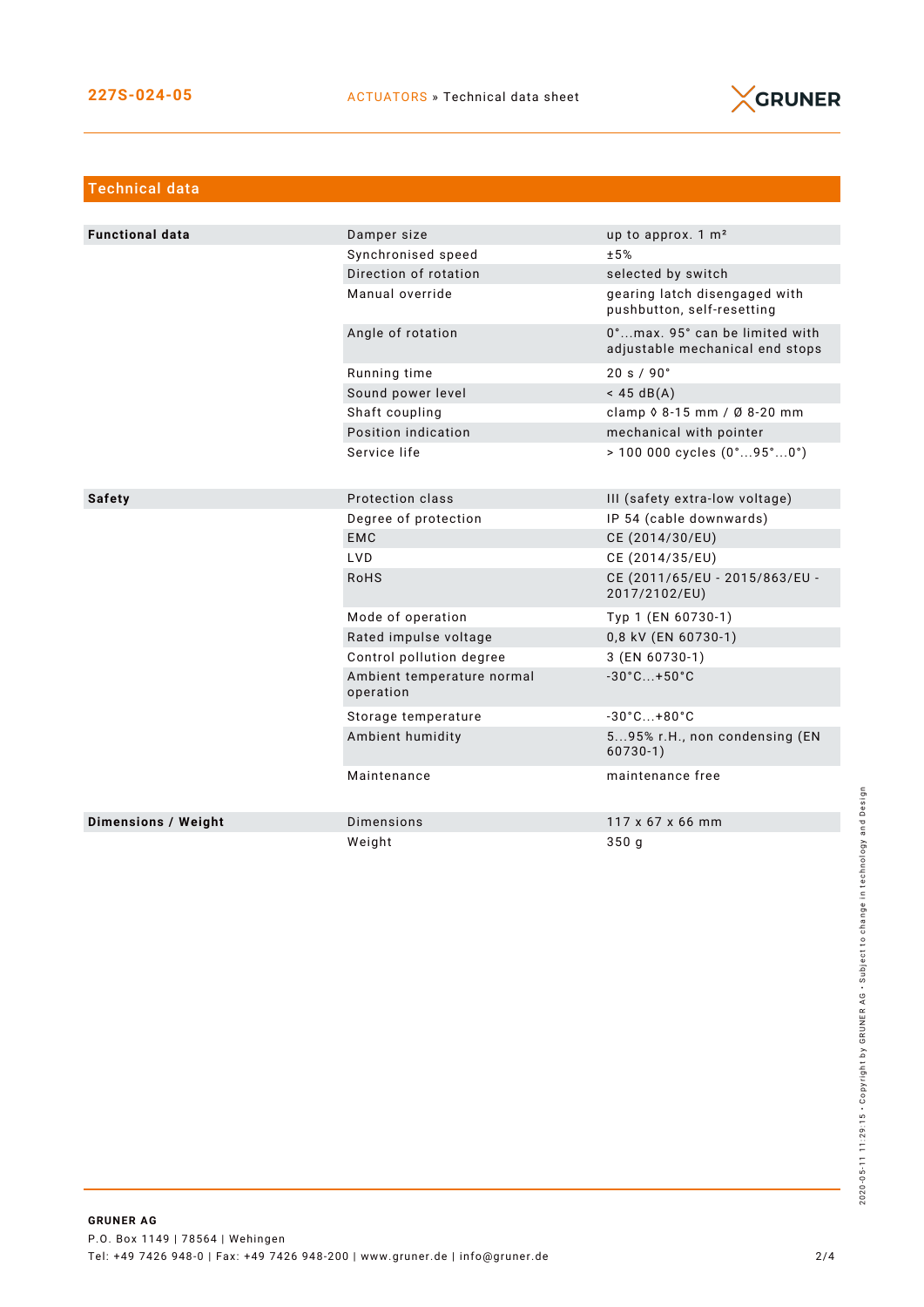

| <b>Technical data</b>  |                                         |                                                                   |
|------------------------|-----------------------------------------|-------------------------------------------------------------------|
|                        |                                         |                                                                   |
| <b>Functional data</b> | Damper size                             | up to approx. 1 m <sup>2</sup>                                    |
|                        | Synchronised speed                      | ±5%                                                               |
|                        | Direction of rotation                   | selected by switch                                                |
|                        | Manual override                         | gearing latch disengaged with<br>pushbutton, self-resetting       |
|                        | Angle of rotation                       | 0°max. 95° can be limited with<br>adjustable mechanical end stops |
|                        | Running time                            | 20 s / 90°                                                        |
|                        | Sound power level                       | $<$ 45 dB(A)                                                      |
|                        | Shaft coupling                          | clamp 0 8-15 mm / Ø 8-20 mm                                       |
|                        | Position indication                     | mechanical with pointer                                           |
|                        | Service life                            | $> 100000$ cycles $(0^{\circ}95^{\circ}0^{\circ})$                |
|                        |                                         |                                                                   |
| <b>Safety</b>          | Protection class                        | III (safety extra-low voltage)                                    |
|                        | Degree of protection                    | IP 54 (cable downwards)                                           |
|                        | <b>EMC</b>                              | CE (2014/30/EU)                                                   |
|                        | LVD.                                    | CE (2014/35/EU)                                                   |
|                        | <b>RoHS</b>                             | CE (2011/65/EU - 2015/863/EU -<br>2017/2102/EU)                   |
|                        | Mode of operation                       | Typ 1 (EN 60730-1)                                                |
|                        | Rated impulse voltage                   | 0,8 kV (EN 60730-1)                                               |
|                        | Control pollution degree                | 3 (EN 60730-1)                                                    |
|                        | Ambient temperature normal<br>operation | $-30^{\circ}$ C +50 $^{\circ}$ C                                  |
|                        | Storage temperature                     | $-30^{\circ}$ C +80 $^{\circ}$ C                                  |
|                        | Ambient humidity                        | 595% r.H., non condensing (EN<br>$60730-1)$                       |
|                        | Maintenance                             | maintenance free                                                  |
| Dimensions / Weight    | <b>Dimensions</b>                       | 117 x 67 x 66 mm                                                  |
|                        | Weight                                  | 350 <sub>q</sub>                                                  |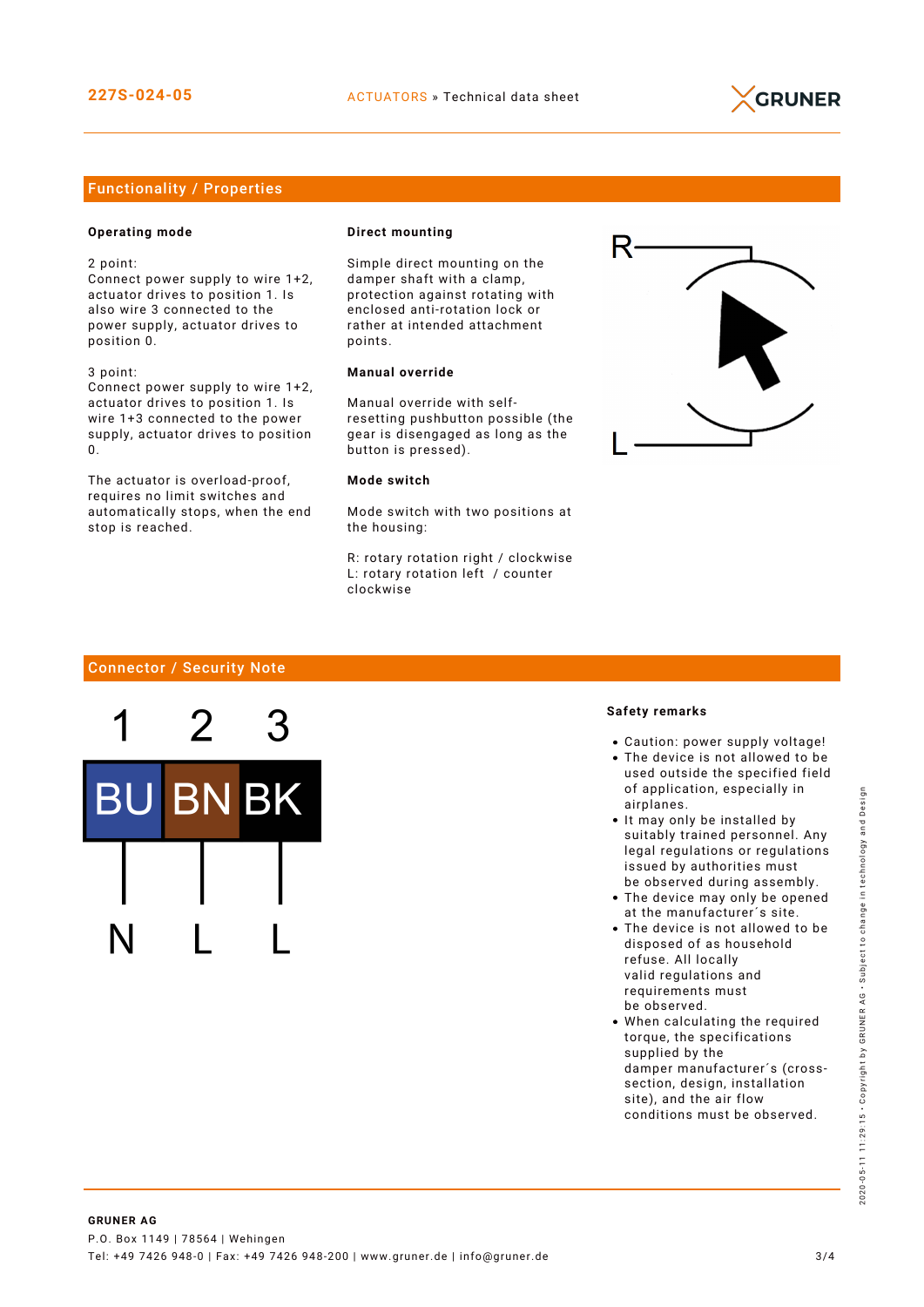

### Functionality / Properties

#### **Operating mode**

2 point:

Connect power supply to wire 1+2, actuator drives to position 1. Is also wire 3 connected to the power supply, actuator drives to position 0.

3 point: Connect power supply to wire 1+2, actuator drives to position 1. Is wire 1+3 connected to the power

supply, actuator drives to position  $\Omega$ The actuator is overload-proof,

requires no limit switches and automatically stops, when the end stop is reached.

#### **Direct mounting**

Simple direct mounting on the damper shaft with a clamp, protection against rotating with enclosed anti-rotation lock or rather at intended attachment points.

#### **Manual override**

Manual override with selfresetting pushbutton possible (the gear is disengaged as long as the button is pressed).

#### **Mode switch**

Mode switch with two positions at the housing:

R: rotary rotation right / clockwise L: rotary rotation left / counter clockwise



#### Connector / Security Note



#### **Safety remarks**

- Caution: power supply voltage!
- The device is not allowed to be used outside the specified field of application, especially in airplanes.
- It may only be installed by suitably trained personnel. Any legal regulations or regulations issued by authorities must be observed during assembly.
- The device may only be opened at the manufacturer´s site.
- The device is not allowed to be disposed of as household refuse. All locally valid regulations and requirements must be observed.
- When calculating the required torque, the specifications supplied by the damper manufacturer´s (crosssection, design, installation site), and the air flow conditions must be observed.